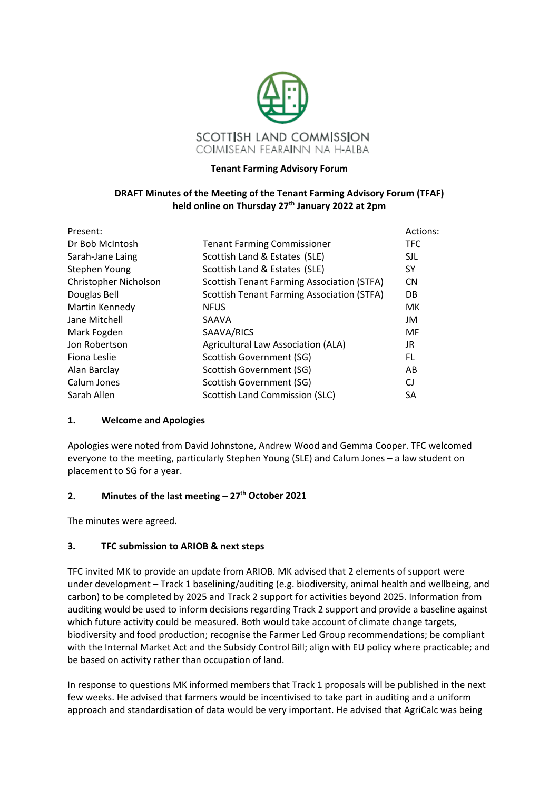

### **Tenant Farming Advisory Forum**

### **DRAFT Minutes of the Meeting of the Tenant Farming Advisory Forum (TFAF) held online on Thursday 27th January 2022 at 2pm**

| Present:              |                                                   | Actions:  |
|-----------------------|---------------------------------------------------|-----------|
| Dr Bob McIntosh       | <b>Tenant Farming Commissioner</b>                | TFC.      |
| Sarah-Jane Laing      | Scottish Land & Estates (SLE)                     | SJL       |
| Stephen Young         | Scottish Land & Estates (SLE)                     | SY.       |
| Christopher Nicholson | <b>Scottish Tenant Farming Association (STFA)</b> | <b>CN</b> |
| Douglas Bell          | <b>Scottish Tenant Farming Association (STFA)</b> | DB.       |
| Martin Kennedy        | <b>NFUS</b>                                       | МK        |
| Jane Mitchell         | SAAVA                                             | JM        |
| Mark Fogden           | SAAVA/RICS                                        | MF        |
| Jon Robertson         | Agricultural Law Association (ALA)                | JR.       |
| Fiona Leslie          | Scottish Government (SG)                          | FL.       |
| Alan Barclay          | Scottish Government (SG)                          | AB        |
| Calum Jones           | Scottish Government (SG)                          | CJ        |
| Sarah Allen           | <b>Scottish Land Commission (SLC)</b>             | <b>SA</b> |

### **1. Welcome and Apologies**

Apologies were noted from David Johnstone, Andrew Wood and Gemma Cooper. TFC welcomed everyone to the meeting, particularly Stephen Young (SLE) and Calum Jones – a law student on placement to SG for a year.

### **2. Minutes of the last meeting – 27th October 2021**

The minutes were agreed.

## **3. TFC submission to ARIOB & next steps**

TFC invited MK to provide an update from ARIOB. MK advised that 2 elements of support were under development – Track 1 baselining/auditing (e.g. biodiversity, animal health and wellbeing, and carbon) to be completed by 2025 and Track 2 support for activities beyond 2025. Information from auditing would be used to inform decisions regarding Track 2 support and provide a baseline against which future activity could be measured. Both would take account of climate change targets, biodiversity and food production; recognise the Farmer Led Group recommendations; be compliant with the Internal Market Act and the Subsidy Control Bill; align with EU policy where practicable; and be based on activity rather than occupation of land.

In response to questions MK informed members that Track 1 proposals will be published in the next few weeks. He advised that farmers would be incentivised to take part in auditing and a uniform approach and standardisation of data would be very important. He advised that AgriCalc was being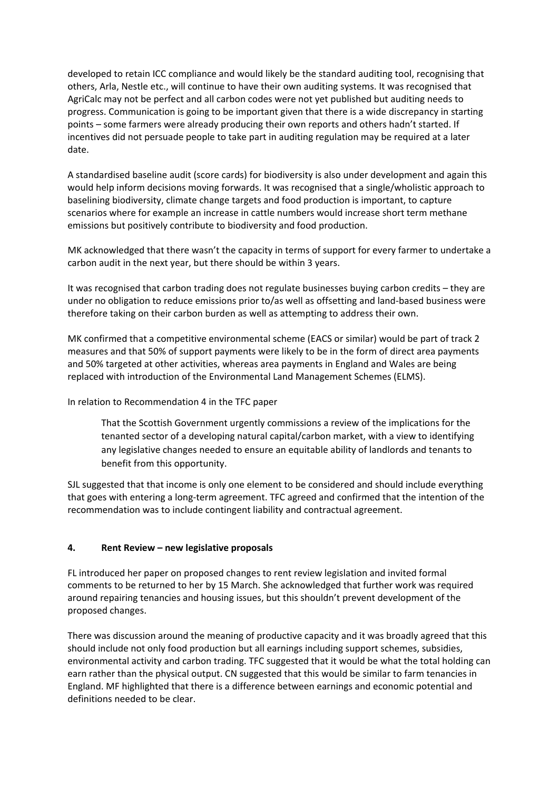developed to retain ICC compliance and would likely be the standard auditing tool, recognising that others, Arla, Nestle etc., will continue to have their own auditing systems. It was recognised that AgriCalc may not be perfect and all carbon codes were not yet published but auditing needs to progress. Communication is going to be important given that there is a wide discrepancy in starting points – some farmers were already producing their own reports and others hadn't started. If incentives did not persuade people to take part in auditing regulation may be required at a later date.

A standardised baseline audit (score cards) for biodiversity is also under development and again this would help inform decisions moving forwards. It was recognised that a single/wholistic approach to baselining biodiversity, climate change targets and food production is important, to capture scenarios where for example an increase in cattle numbers would increase short term methane emissions but positively contribute to biodiversity and food production.

MK acknowledged that there wasn't the capacity in terms of support for every farmer to undertake a carbon audit in the next year, but there should be within 3 years.

It was recognised that carbon trading does not regulate businesses buying carbon credits – they are under no obligation to reduce emissions prior to/as well as offsetting and land-based business were therefore taking on their carbon burden as well as attempting to address their own.

MK confirmed that a competitive environmental scheme (EACS or similar) would be part of track 2 measures and that 50% of support payments were likely to be in the form of direct area payments and 50% targeted at other activities, whereas area payments in England and Wales are being replaced with introduction of the Environmental Land Management Schemes (ELMS).

In relation to Recommendation 4 in the TFC paper

That the Scottish Government urgently commissions a review of the implications for the tenanted sector of a developing natural capital/carbon market, with a view to identifying any legislative changes needed to ensure an equitable ability of landlords and tenants to benefit from this opportunity.

SJL suggested that that income is only one element to be considered and should include everything that goes with entering a long-term agreement. TFC agreed and confirmed that the intention of the recommendation was to include contingent liability and contractual agreement.

## **4. Rent Review – new legislative proposals**

FL introduced her paper on proposed changes to rent review legislation and invited formal comments to be returned to her by 15 March. She acknowledged that further work was required around repairing tenancies and housing issues, but this shouldn't prevent development of the proposed changes.

There was discussion around the meaning of productive capacity and it was broadly agreed that this should include not only food production but all earnings including support schemes, subsidies, environmental activity and carbon trading. TFC suggested that it would be what the total holding can earn rather than the physical output. CN suggested that this would be similar to farm tenancies in England. MF highlighted that there is a difference between earnings and economic potential and definitions needed to be clear.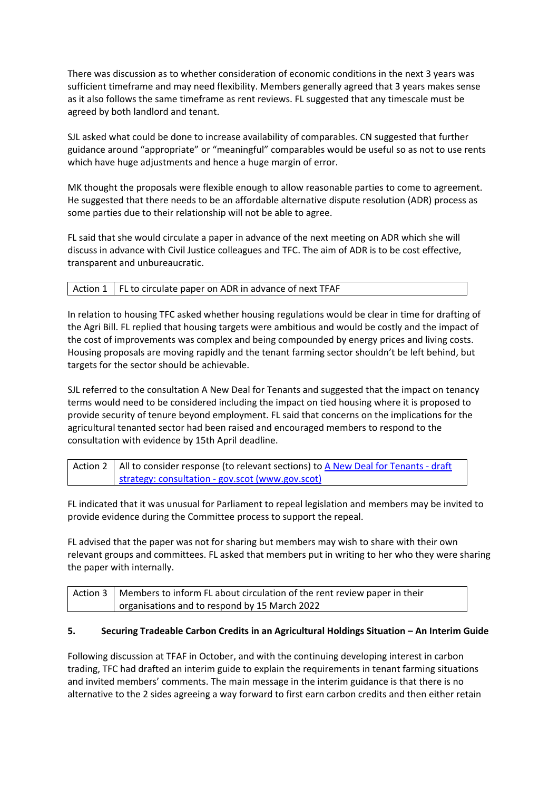There was discussion as to whether consideration of economic conditions in the next 3 years was sufficient timeframe and may need flexibility. Members generally agreed that 3 years makes sense as it also follows the same timeframe as rent reviews. FL suggested that any timescale must be agreed by both landlord and tenant.

SJL asked what could be done to increase availability of comparables. CN suggested that further guidance around "appropriate" or "meaningful" comparables would be useful so as not to use rents which have huge adjustments and hence a huge margin of error.

MK thought the proposals were flexible enough to allow reasonable parties to come to agreement. He suggested that there needs to be an affordable alternative dispute resolution (ADR) process as some parties due to their relationship will not be able to agree.

FL said that she would circulate a paper in advance of the next meeting on ADR which she will discuss in advance with Civil Justice colleagues and TFC. The aim of ADR is to be cost effective, transparent and unbureaucratic.

In relation to housing TFC asked whether housing regulations would be clear in time for drafting of the Agri Bill. FL replied that housing targets were ambitious and would be costly and the impact of the cost of improvements was complex and being compounded by energy prices and living costs. Housing proposals are moving rapidly and the tenant farming sector shouldn't be left behind, but targets for the sector should be achievable.

SJL referred to the consultation A New Deal for Tenants and suggested that the impact on tenancy terms would need to be considered including the impact on tied housing where it is proposed to provide security of tenure beyond employment. FL said that concerns on the implications for the agricultural tenanted sector had been raised and encouraged members to respond to the consultation with evidence by 15th April deadline.

Action 2 | All to consider response (to relevant sections) to A New Deal for Tenants - draft strategy: consultation - gov.scot (www.gov.scot)

FL indicated that it was unusual for Parliament to repeal legislation and members may be invited to provide evidence during the Committee process to support the repeal.

FL advised that the paper was not for sharing but members may wish to share with their own relevant groups and committees. FL asked that members put in writing to her who they were sharing the paper with internally.

| Action 3   Members to inform FL about circulation of the rent review paper in their |
|-------------------------------------------------------------------------------------|
| organisations and to respond by 15 March 2022                                       |

### **5. Securing Tradeable Carbon Credits in an Agricultural Holdings Situation – An Interim Guide**

Following discussion at TFAF in October, and with the continuing developing interest in carbon trading, TFC had drafted an interim guide to explain the requirements in tenant farming situations and invited members' comments. The main message in the interim guidance is that there is no alternative to the 2 sides agreeing a way forward to first earn carbon credits and then either retain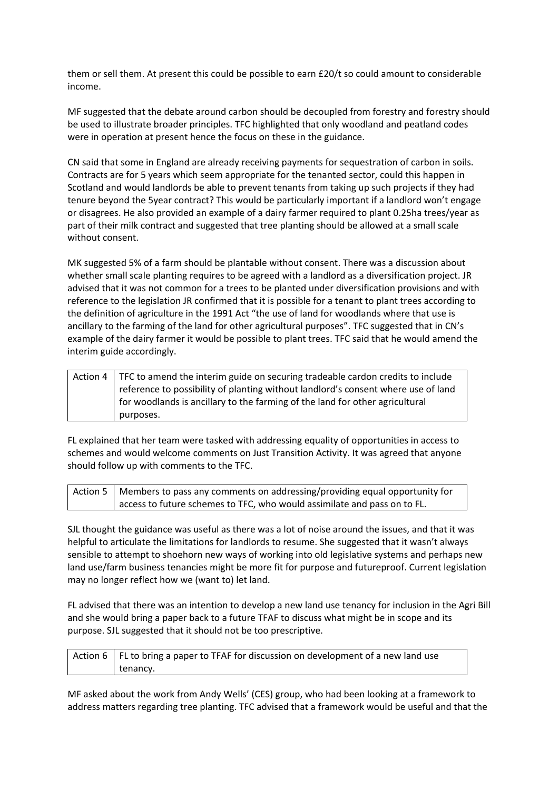them or sell them. At present this could be possible to earn £20/t so could amount to considerable income.

MF suggested that the debate around carbon should be decoupled from forestry and forestry should be used to illustrate broader principles. TFC highlighted that only woodland and peatland codes were in operation at present hence the focus on these in the guidance.

CN said that some in England are already receiving payments for sequestration of carbon in soils. Contracts are for 5 years which seem appropriate for the tenanted sector, could this happen in Scotland and would landlords be able to prevent tenants from taking up such projects if they had tenure beyond the 5year contract? This would be particularly important if a landlord won't engage or disagrees. He also provided an example of a dairy farmer required to plant 0.25ha trees/year as part of their milk contract and suggested that tree planting should be allowed at a small scale without consent.

MK suggested 5% of a farm should be plantable without consent. There was a discussion about whether small scale planting requires to be agreed with a landlord as a diversification project. JR advised that it was not common for a trees to be planted under diversification provisions and with reference to the legislation JR confirmed that it is possible for a tenant to plant trees according to the definition of agriculture in the 1991 Act "the use of land for woodlands where that use is ancillary to the farming of the land for other agricultural purposes". TFC suggested that in CN's example of the dairy farmer it would be possible to plant trees. TFC said that he would amend the interim guide accordingly.

| Action 4   TFC to amend the interim guide on securing tradeable cardon credits to include |  |
|-------------------------------------------------------------------------------------------|--|
| reference to possibility of planting without landlord's consent where use of land         |  |
| for woodlands is ancillary to the farming of the land for other agricultural              |  |
| purposes.                                                                                 |  |

FL explained that her team were tasked with addressing equality of opportunities in access to schemes and would welcome comments on Just Transition Activity. It was agreed that anyone should follow up with comments to the TFC.

| Action 5   Members to pass any comments on addressing/providing equal opportunity for |
|---------------------------------------------------------------------------------------|
| access to future schemes to TFC, who would assimilate and pass on to FL.              |

SJL thought the guidance was useful as there was a lot of noise around the issues, and that it was helpful to articulate the limitations for landlords to resume. She suggested that it wasn't always sensible to attempt to shoehorn new ways of working into old legislative systems and perhaps new land use/farm business tenancies might be more fit for purpose and futureproof. Current legislation may no longer reflect how we (want to) let land.

FL advised that there was an intention to develop a new land use tenancy for inclusion in the Agri Bill and she would bring a paper back to a future TFAF to discuss what might be in scope and its purpose. SJL suggested that it should not be too prescriptive.

Action  $6 \mid$  FL to bring a paper to TFAF for discussion on development of a new land use tenancy.

MF asked about the work from Andy Wells' (CES) group, who had been looking at a framework to address matters regarding tree planting. TFC advised that a framework would be useful and that the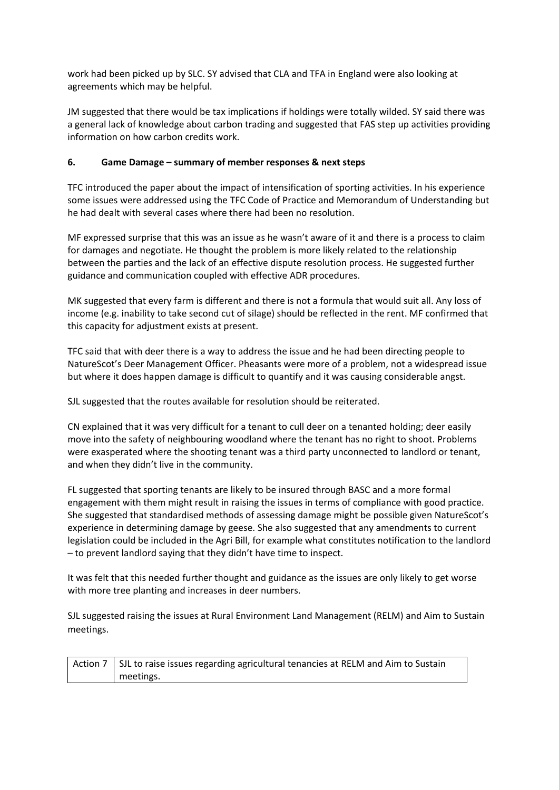work had been picked up by SLC. SY advised that CLA and TFA in England were also looking at agreements which may be helpful.

JM suggested that there would be tax implications if holdings were totally wilded. SY said there was a general lack of knowledge about carbon trading and suggested that FAS step up activities providing information on how carbon credits work.

## **6. Game Damage – summary of member responses & next steps**

TFC introduced the paper about the impact of intensification of sporting activities. In his experience some issues were addressed using the TFC Code of Practice and Memorandum of Understanding but he had dealt with several cases where there had been no resolution.

MF expressed surprise that this was an issue as he wasn't aware of it and there is a process to claim for damages and negotiate. He thought the problem is more likely related to the relationship between the parties and the lack of an effective dispute resolution process. He suggested further guidance and communication coupled with effective ADR procedures.

MK suggested that every farm is different and there is not a formula that would suit all. Any loss of income (e.g. inability to take second cut of silage) should be reflected in the rent. MF confirmed that this capacity for adjustment exists at present.

TFC said that with deer there is a way to address the issue and he had been directing people to NatureScot's Deer Management Officer. Pheasants were more of a problem, not a widespread issue but where it does happen damage is difficult to quantify and it was causing considerable angst.

SJL suggested that the routes available for resolution should be reiterated.

CN explained that it was very difficult for a tenant to cull deer on a tenanted holding; deer easily move into the safety of neighbouring woodland where the tenant has no right to shoot. Problems were exasperated where the shooting tenant was a third party unconnected to landlord or tenant, and when they didn't live in the community.

FL suggested that sporting tenants are likely to be insured through BASC and a more formal engagement with them might result in raising the issues in terms of compliance with good practice. She suggested that standardised methods of assessing damage might be possible given NatureScot's experience in determining damage by geese. She also suggested that any amendments to current legislation could be included in the Agri Bill, for example what constitutes notification to the landlord – to prevent landlord saying that they didn't have time to inspect.

It was felt that this needed further thought and guidance as the issues are only likely to get worse with more tree planting and increases in deer numbers.

SJL suggested raising the issues at Rural Environment Land Management (RELM) and Aim to Sustain meetings.

Action 7  $\vert$  SJL to raise issues regarding agricultural tenancies at RELM and Aim to Sustain meetings.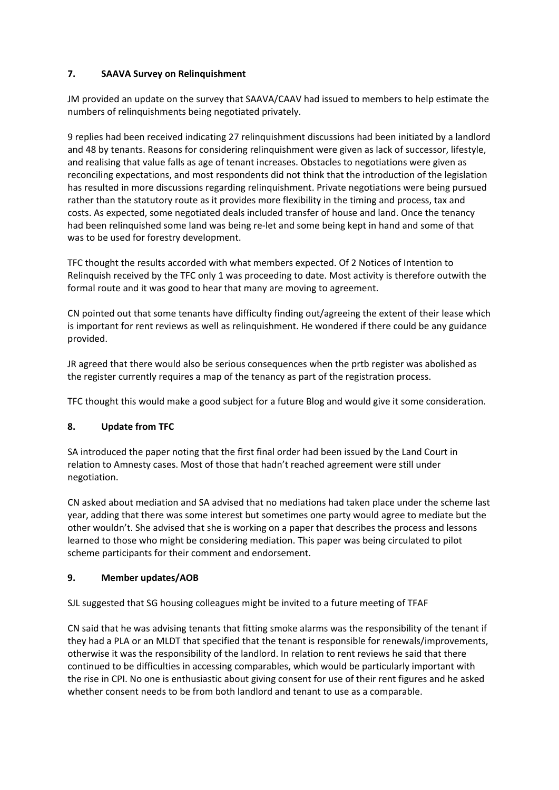## **7. SAAVA Survey on Relinquishment**

JM provided an update on the survey that SAAVA/CAAV had issued to members to help estimate the numbers of relinquishments being negotiated privately.

9 replies had been received indicating 27 relinquishment discussions had been initiated by a landlord and 48 by tenants. Reasons for considering relinquishment were given as lack of successor, lifestyle, and realising that value falls as age of tenant increases. Obstacles to negotiations were given as reconciling expectations, and most respondents did not think that the introduction of the legislation has resulted in more discussions regarding relinquishment. Private negotiations were being pursued rather than the statutory route as it provides more flexibility in the timing and process, tax and costs. As expected, some negotiated deals included transfer of house and land. Once the tenancy had been relinquished some land was being re-let and some being kept in hand and some of that was to be used for forestry development.

TFC thought the results accorded with what members expected. Of 2 Notices of Intention to Relinquish received by the TFC only 1 was proceeding to date. Most activity is therefore outwith the formal route and it was good to hear that many are moving to agreement.

CN pointed out that some tenants have difficulty finding out/agreeing the extent of their lease which is important for rent reviews as well as relinquishment. He wondered if there could be any guidance provided.

JR agreed that there would also be serious consequences when the prtb register was abolished as the register currently requires a map of the tenancy as part of the registration process.

TFC thought this would make a good subject for a future Blog and would give it some consideration.

# **8. Update from TFC**

SA introduced the paper noting that the first final order had been issued by the Land Court in relation to Amnesty cases. Most of those that hadn't reached agreement were still under negotiation.

CN asked about mediation and SA advised that no mediations had taken place under the scheme last year, adding that there was some interest but sometimes one party would agree to mediate but the other wouldn't. She advised that she is working on a paper that describes the process and lessons learned to those who might be considering mediation. This paper was being circulated to pilot scheme participants for their comment and endorsement.

## **9. Member updates/AOB**

SJL suggested that SG housing colleagues might be invited to a future meeting of TFAF

CN said that he was advising tenants that fitting smoke alarms was the responsibility of the tenant if they had a PLA or an MLDT that specified that the tenant is responsible for renewals/improvements, otherwise it was the responsibility of the landlord. In relation to rent reviews he said that there continued to be difficulties in accessing comparables, which would be particularly important with the rise in CPI. No one is enthusiastic about giving consent for use of their rent figures and he asked whether consent needs to be from both landlord and tenant to use as a comparable.